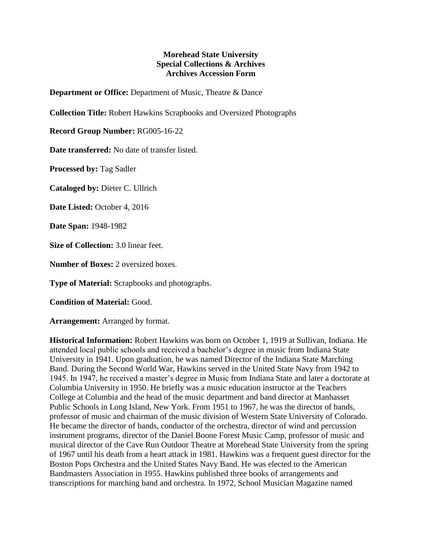## **Morehead State University Special Collections & Archives Archives Accession Form**

**Department or Office:** Department of Music, Theatre & Dance

**Collection Title:** Robert Hawkins Scrapbooks and Oversized Photographs

**Record Group Number:** RG005-16-22

**Date transferred:** No date of transfer listed.

**Processed by:** Tag Sadler

**Cataloged by:** Dieter C. Ullrich

**Date Listed:** October 4, 2016

**Date Span:** 1948-1982

**Size of Collection:** 3.0 linear feet.

**Number of Boxes:** 2 oversized boxes.

**Type of Material:** Scrapbooks and photographs.

**Condition of Material:** Good.

**Arrangement:** Arranged by format.

**Historical Information:** Robert Hawkins was born on October 1, 1919 at Sullivan, Indiana. He attended local public schools and received a bachelor's degree in music from Indiana State University in 1941. Upon graduation, he was named Director of the Indiana State Marching Band. During the Second World War, Hawkins served in the United State Navy from 1942 to 1945. In 1947, he received a master's degree in Music from Indiana State and later a doctorate at Columbia University in 1950. He briefly was a music education instructor at the Teachers College at Columbia and the head of the music department and band director at Manhasset Public Schools in Long Island, New York. From 1951 to 1967, he was the director of bands, professor of music and chairman of the music division of Western State University of Colorado. He became the director of bands, conductor of the orchestra, director of wind and percussion instrument programs, director of the Daniel Boone Forest Music Camp, professor of music and musical director of the Cave Run Outdoor Theatre at Morehead State University from the spring of 1967 until his death from a heart attack in 1981. Hawkins was a frequent guest director for the Boston Pops Orchestra and the United States Navy Band. He was elected to the American Bandmasters Association in 1955. Hawkins published three books of arrangements and transcriptions for marching band and orchestra. In 1972, School Musician Magazine named